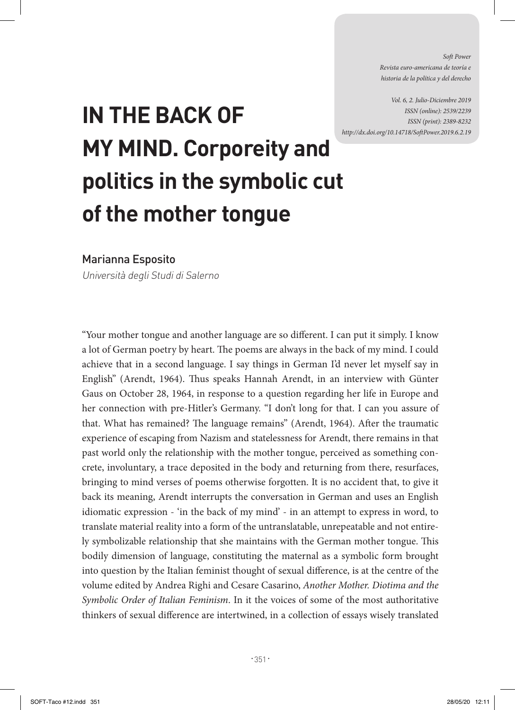*Soft Power Revista euro-americana de teoría e historia de la política y del derecho* 

*Vol. 6, 2. Julio-Diciembre 2019 ISSN (online): 2539/2239 ISSN (print): 2389-8232 http://dx.doi.org/10.14718/SoftPower.2019.6.2.19*

## **IN THE BACK OF MY MIND. Corporeity and politics in the symbolic cut of the mother tongue**

Marianna Esposito

Università degli Studi di Salerno

"Your mother tongue and another language are so different. I can put it simply. I know a lot of German poetry by heart. The poems are always in the back of my mind. I could achieve that in a second language. I say things in German I'd never let myself say in English" (Arendt, 1964). Thus speaks Hannah Arendt, in an interview with Günter Gaus on October 28, 1964, in response to a question regarding her life in Europe and her connection with pre-Hitler's Germany. "I don't long for that. I can you assure of that. What has remained? The language remains" (Arendt, 1964). After the traumatic experience of escaping from Nazism and statelessness for Arendt, there remains in that past world only the relationship with the mother tongue, perceived as something concrete, involuntary, a trace deposited in the body and returning from there, resurfaces, bringing to mind verses of poems otherwise forgotten. It is no accident that, to give it back its meaning, Arendt interrupts the conversation in German and uses an English idiomatic expression - 'in the back of my mind' - in an attempt to express in word, to translate material reality into a form of the untranslatable, unrepeatable and not entirely symbolizable relationship that she maintains with the German mother tongue. This bodily dimension of language, constituting the maternal as a symbolic form brought into question by the Italian feminist thought of sexual difference, is at the centre of the volume edited by Andrea Righi and Cesare Casarino, *Another Mother. Diotima and the Symbolic Order of Italian Feminism*. In it the voices of some of the most authoritative thinkers of sexual difference are intertwined, in a collection of essays wisely translated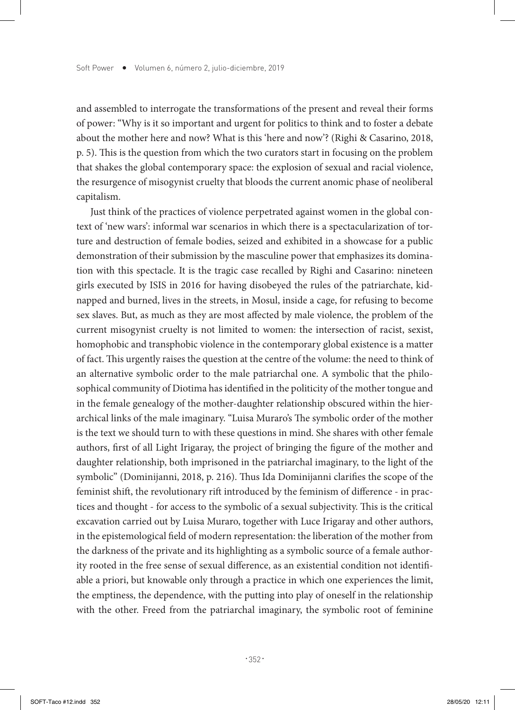and assembled to interrogate the transformations of the present and reveal their forms of power: "Why is it so important and urgent for politics to think and to foster a debate about the mother here and now? What is this 'here and now'? (Righi & Casarino, 2018, p. 5). This is the question from which the two curators start in focusing on the problem that shakes the global contemporary space: the explosion of sexual and racial violence, the resurgence of misogynist cruelty that bloods the current anomic phase of neoliberal capitalism.

Just think of the practices of violence perpetrated against women in the global context of 'new wars': informal war scenarios in which there is a spectacularization of torture and destruction of female bodies, seized and exhibited in a showcase for a public demonstration of their submission by the masculine power that emphasizes its domination with this spectacle. It is the tragic case recalled by Righi and Casarino: nineteen girls executed by ISIS in 2016 for having disobeyed the rules of the patriarchate, kidnapped and burned, lives in the streets, in Mosul, inside a cage, for refusing to become sex slaves. But, as much as they are most affected by male violence, the problem of the current misogynist cruelty is not limited to women: the intersection of racist, sexist, homophobic and transphobic violence in the contemporary global existence is a matter of fact. This urgently raises the question at the centre of the volume: the need to think of an alternative symbolic order to the male patriarchal one. A symbolic that the philosophical community of Diotima has identified in the politicity of the mother tongue and in the female genealogy of the mother-daughter relationship obscured within the hierarchical links of the male imaginary. "Luisa Muraro's The symbolic order of the mother is the text we should turn to with these questions in mind. She shares with other female authors, first of all Light Irigaray, the project of bringing the figure of the mother and daughter relationship, both imprisoned in the patriarchal imaginary, to the light of the symbolic" (Dominijanni, 2018, p. 216). Thus Ida Dominijanni clarifies the scope of the feminist shift, the revolutionary rift introduced by the feminism of difference - in practices and thought - for access to the symbolic of a sexual subjectivity. This is the critical excavation carried out by Luisa Muraro, together with Luce Irigaray and other authors, in the epistemological field of modern representation: the liberation of the mother from the darkness of the private and its highlighting as a symbolic source of a female authority rooted in the free sense of sexual difference, as an existential condition not identifiable a priori, but knowable only through a practice in which one experiences the limit, the emptiness, the dependence, with the putting into play of oneself in the relationship with the other. Freed from the patriarchal imaginary, the symbolic root of feminine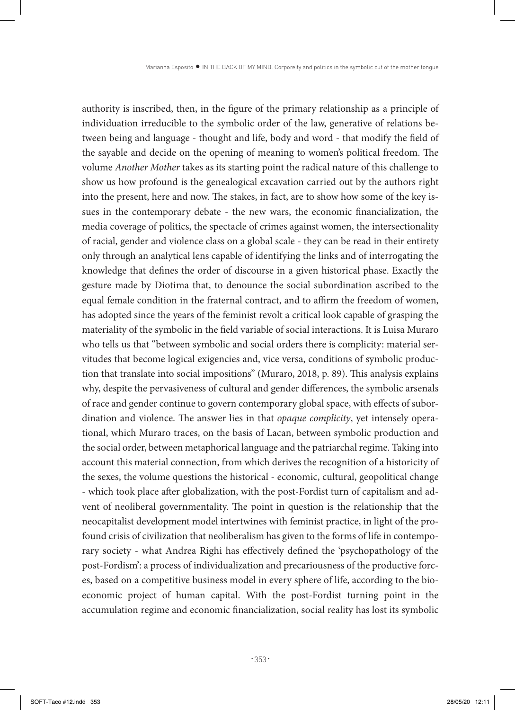authority is inscribed, then, in the figure of the primary relationship as a principle of individuation irreducible to the symbolic order of the law, generative of relations between being and language - thought and life, body and word - that modify the field of the sayable and decide on the opening of meaning to women's political freedom. The volume *Another Mother* takes as its starting point the radical nature of this challenge to show us how profound is the genealogical excavation carried out by the authors right into the present, here and now. The stakes, in fact, are to show how some of the key issues in the contemporary debate - the new wars, the economic financialization, the media coverage of politics, the spectacle of crimes against women, the intersectionality of racial, gender and violence class on a global scale - they can be read in their entirety only through an analytical lens capable of identifying the links and of interrogating the knowledge that defines the order of discourse in a given historical phase. Exactly the gesture made by Diotima that, to denounce the social subordination ascribed to the equal female condition in the fraternal contract, and to affirm the freedom of women, has adopted since the years of the feminist revolt a critical look capable of grasping the materiality of the symbolic in the field variable of social interactions. It is Luisa Muraro who tells us that "between symbolic and social orders there is complicity: material servitudes that become logical exigencies and, vice versa, conditions of symbolic production that translate into social impositions" (Muraro, 2018, p. 89). This analysis explains why, despite the pervasiveness of cultural and gender differences, the symbolic arsenals of race and gender continue to govern contemporary global space, with effects of subordination and violence. The answer lies in that *opaque complicity*, yet intensely operational, which Muraro traces, on the basis of Lacan, between symbolic production and the social order, between metaphorical language and the patriarchal regime. Taking into account this material connection, from which derives the recognition of a historicity of the sexes, the volume questions the historical - economic, cultural, geopolitical change - which took place after globalization, with the post-Fordist turn of capitalism and advent of neoliberal governmentality. The point in question is the relationship that the neocapitalist development model intertwines with feminist practice, in light of the profound crisis of civilization that neoliberalism has given to the forms of life in contemporary society - what Andrea Righi has effectively defined the 'psychopathology of the post-Fordism': a process of individualization and precariousness of the productive forces, based on a competitive business model in every sphere of life, according to the bioeconomic project of human capital. With the post-Fordist turning point in the accumulation regime and economic financialization, social reality has lost its symbolic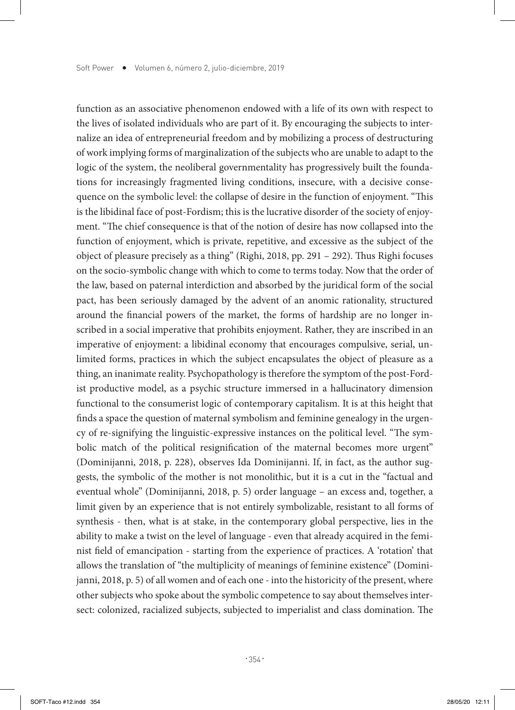function as an associative phenomenon endowed with a life of its own with respect to the lives of isolated individuals who are part of it. By encouraging the subjects to internalize an idea of entrepreneurial freedom and by mobilizing a process of destructuring of work implying forms of marginalization of the subjects who are unable to adapt to the logic of the system, the neoliberal governmentality has progressively built the foundations for increasingly fragmented living conditions, insecure, with a decisive consequence on the symbolic level: the collapse of desire in the function of enjoyment. "This is the libidinal face of post-Fordism; this is the lucrative disorder of the society of enjoyment. "The chief consequence is that of the notion of desire has now collapsed into the function of enjoyment, which is private, repetitive, and excessive as the subject of the object of pleasure precisely as a thing" (Righi, 2018, pp. 291 – 292). Thus Righi focuses on the socio-symbolic change with which to come to terms today. Now that the order of the law, based on paternal interdiction and absorbed by the juridical form of the social pact, has been seriously damaged by the advent of an anomic rationality, structured around the financial powers of the market, the forms of hardship are no longer inscribed in a social imperative that prohibits enjoyment. Rather, they are inscribed in an imperative of enjoyment: a libidinal economy that encourages compulsive, serial, unlimited forms, practices in which the subject encapsulates the object of pleasure as a thing, an inanimate reality. Psychopathology is therefore the symptom of the post-Fordist productive model, as a psychic structure immersed in a hallucinatory dimension functional to the consumerist logic of contemporary capitalism. It is at this height that finds a space the question of maternal symbolism and feminine genealogy in the urgency of re-signifying the linguistic-expressive instances on the political level. "The symbolic match of the political resignification of the maternal becomes more urgent" (Dominijanni, 2018, p. 228), observes Ida Dominijanni. If, in fact, as the author suggests, the symbolic of the mother is not monolithic, but it is a cut in the "factual and eventual whole" (Dominijanni, 2018, p. 5) order language – an excess and, together, a limit given by an experience that is not entirely symbolizable, resistant to all forms of synthesis - then, what is at stake, in the contemporary global perspective, lies in the ability to make a twist on the level of language - even that already acquired in the feminist field of emancipation - starting from the experience of practices. A 'rotation' that allows the translation of "the multiplicity of meanings of feminine existence" (Dominijanni, 2018, p. 5) of all women and of each one - into the historicity of the present, where other subjects who spoke about the symbolic competence to say about themselves intersect: colonized, racialized subjects, subjected to imperialist and class domination. The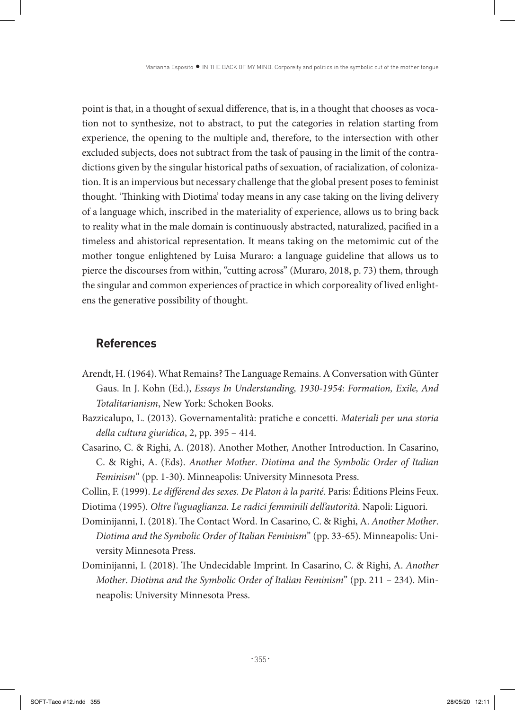point is that, in a thought of sexual difference, that is, in a thought that chooses as vocation not to synthesize, not to abstract, to put the categories in relation starting from experience, the opening to the multiple and, therefore, to the intersection with other excluded subjects, does not subtract from the task of pausing in the limit of the contradictions given by the singular historical paths of sexuation, of racialization, of colonization. It is an impervious but necessary challenge that the global present poses to feminist thought. 'Thinking with Diotima' today means in any case taking on the living delivery of a language which, inscribed in the materiality of experience, allows us to bring back to reality what in the male domain is continuously abstracted, naturalized, pacified in a timeless and ahistorical representation. It means taking on the metomimic cut of the mother tongue enlightened by Luisa Muraro: a language guideline that allows us to pierce the discourses from within, "cutting across" (Muraro, 2018, p. 73) them, through the singular and common experiences of practice in which corporeality of lived enlightens the generative possibility of thought.

## **References**

- Arendt, H. (1964). What Remains? The Language Remains. A Conversation with Günter Gaus. In J. Kohn (Ed.), *Essays In Understanding, 1930-1954: Formation, Exile, And Totalitarianism*, New York: Schoken Books.
- Bazzicalupo, L. (2013). Governamentalità: pratiche e concetti. *Materiali per una storia della cultura giuridica*, 2, pp. 395 – 414.
- Casarino, C. & Righi, A. (2018). Another Mother, Another Introduction. In Casarino, C. & Righi, A. (Eds). *Another Mother*. *Diotima and the Symbolic Order of Italian Feminism*" (pp. 1-30). Minneapolis: University Minnesota Press.

Collin, F. (1999). *Le différend des sexes. De Platon à la parité*. Paris: Éditions Pleins Feux.

Diotima (1995). *Oltre l'uguaglianza. Le radici femminili dell'autorità*. Napoli: Liguori.

- Dominijanni, I. (2018). The Contact Word. In Casarino, C. & Righi, A. *Another Mother*. *Diotima and the Symbolic Order of Italian Feminism*" (pp. 33-65). Minneapolis: University Minnesota Press.
- Dominijanni, I. (2018). The Undecidable Imprint. In Casarino, C. & Righi, A. *Another Mother*. *Diotima and the Symbolic Order of Italian Feminism*" (pp. 211 – 234). Minneapolis: University Minnesota Press.